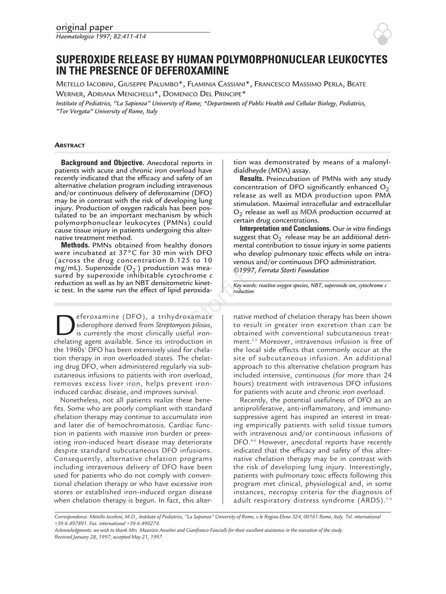

# **SUPEROXIDE RELEASE BY HUMAN POLYMORPHONUCLEAR LEUKOCYTES IN THE PRESENCE OF DEFEROXAMINE**

METELLO IACOBINI, GIUSEPPE PALUMBO\*, FLAMINIA CASSIANI\*, FRANCESCO MASSIMO PERLA, BEATE WERNER, ADRIANA MENICHELLI\*, DOMENICO DEL PRINCIPE\*

*Institute of Pediatrics, "La Sapienza" University of Rome; \*Departments of Public Health and Cellular Biology, Pediatrics, "Tor Vergata" University of Rome, Italy*

## **ABSTRACT**

**Background and Objective.** Anecdotal reports in patients with acute and chronic iron overload have recently indicated that the efficacy and safety of an alternative chelation program including intravenous and/or continuous delivery of deferoxamine (DFO) may be in contrast with the risk of developing lung injury. Production of oxygen radicals has been postulated to be an important mechanism by which polymorphonuclear leukocytes (PMNs) could cause tissue injury in patients undergoing this alternative treatment method.

**Methods.** PMNs obtained from healthy donors were incubated at 37°C for 30 min with DFO (across the drug concentration 0.125 to 10 mg/mL). Superoxide  $(O_2)$  production was measured by superoxide inhibitable cytochrome *c* reduction as well as by an NBT densitometric kinetic test. In the same run the effect of lipid peroxida-

**Deferoxamine (DFO), a trihydroxamate**<br>is currently the most clinically useful iron-<br>chelating agent available. Since its introduction in siderophore derived from *Streptomyces pilosus*, is currently the most clinically useful ironchelating agent available. Since its introduction in the 1960s<sup>1</sup> DFO has been extensively used for chelation therapy in iron overloaded states. The chelating drug DFO, when administered regularly via subcutaneous infusions to patients with iron overload, removes excess liver iron, helps prevent ironinduced cardiac disease, and improves survival. delivery of derevaxime (DFO), a tripy of the consistent mechanism by which the risk of developing lung<br>
my stimulation. Maximal intracellulation and the position of oxygen radicals has been pos-<br>
are leukocytes (PMNs) cou

Nonetheless, not all patients realize these benefits. Some who are poorly compliant with standard chelation therapy may continue to accumulate iron and later die of hemochromatosis. Cardiac function in patients with massive iron burden or preexisting iron-induced heart disease may deteriorate despite standard subcutaneous DFO infusions. Consequently, alternative chelation programs including intravenous delivery of DFO have been used for patients who do not comply with conventional chelation therapy or who have excessive iron stores or established iron-induced organ disease when chelation therapy is begun. In fact, this altertion was demonstrated by means of a malonyldialdheyde (MDA) assay.

**Results.** Preincubation of PMNs with any study concentration of DFO significantly enhanced  $O_2$ release as well as MDA production upon PMA stimulation. Maximal intracellular and extracellular  $O_2$  release as well as MDA production occurred at certain drug concentrations.

**Interpretation and Conclusions.** Our *in vitro* findings suggest that  $O_2$  release may be an additional detrimental contribution to tissue injury in some patients who develop pulmonary toxic effects while on intravenous and/or continuous DFO administration. *©1997, Ferrata Storti Foundation*

*Key words: reactive oxygen species, NBT, superoxide ion, cytochrome c reduction*

native method of chelation therapy has been shown to result in greater iron excretion than can be obtained with conventional subcutaneous treatment.<sup>2,3</sup> Moreover, intravenous infusion is free of the local side effects that commonly occur at the site of subcutaneous infusion. An additional approach to this alternative chelation program has included intensive, continuous (for more than 24 hours) treatment with intravenous DFO infusions for patients with acute and chronic iron overload.

Recently, the potential usefulness of DFO as an antiproliferative, anti-inflammatory, and immunosuppressive agent has inspired an interest in treating empirically patients with solid tissue tumors with intravenous and/or continuous infusions of DFO.<sup>4-6</sup> However, anecdotal reports have recently indicated that the efficacy and safety of this alternative chelation therapy may be in contrast with the risk of developing lung injury. Interestingly, patients with pulmonary toxic effects following this program met clinical, physiological and, in some instances, necropsy criteria for the diagnosis of adult respiratory distress syndrome (ARDS).<sup>7-9</sup>

*Correspondence: Metello Iacobini, M.D., Institute of Pediatrics, "La Sapienza" University of Rome, v.le Regina Elena 324, 00161 Rome, Italy. Tel. international +39.6.497891. Fax. international +39.6.490274.* 

*Acknowledgments: we wish to thank Mrs. Maurizio Anselmi and Gianfranco Fanciulli for their excellent assistance in the execution of the study. Received January 28, 1997; accepted May 21, 1997.*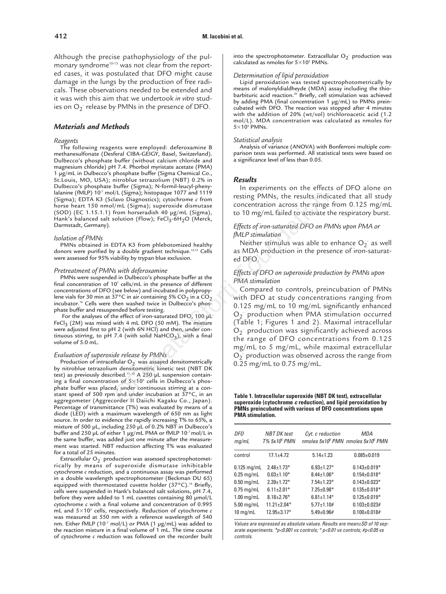Although the precise pathophysiology of the pulmonary syndrome<sup>10-13</sup> was not clear from the reported cases, it was postulated that DFO might cause damage in the lungs by the production of free radicals. These observations needed to be extended and it was with this aim that we undertook *in vitro* studies on  $O_2$  release by PMNs in the presence of DFO.

## *Materials and Methods*

#### *Reagents*

The following reagents were employed: deferoxamine B methanesulfonate (Desferal CIBA-GEIGY, Basel, Switzerland). Dulbecco's phosphate buffer (without calcium chloride and magnesium chloride) pH 7.4. Phorbol myristate acetate (PMA) 1 µg/mL in Dulbecco's phosphate buffer (Sigma Chemical Co., St.Louis, MO, USA); nitroblue tetrazolium (NBT) 0.2% in Dulbecco's phosphate buffer (Sigma); N-formil-leucyl-phenylalanine (fMLP) 10<sup>-7</sup> mol/L (Sigma); histopaque 1077 and 1119 (Sigma); EDTA K3 (Sclavo Diagnostics); cytochrome *c* from horse heart 150 nmol/mL (Sigma); superoxide dismutase (SOD) (EC 1.15.1.1) from horseradish 40 µg/mL (Sigma), Hank's balanced salt solution (Flow);  $FeCl<sub>3</sub>-6H<sub>2</sub>O$  (Merck, Darmstadt, Germany).

# *Isolation of PMNs*

PMNs obtained in EDTA K3 from phlebotomized healthy donors were purified by a double gradient technique.<sup>14,15</sup> Cells were assessed for 95% viability by trypan blue exclusion.

#### *Pretreatment of PMNs with deferoxamine*

PMNs were suspended in Dulbecco's phosphate buffer at the final concentration of  $10<sup>7</sup>$  cells/mL in the presence of different concentrations of DFO (see below) and incubated in polypropylene vials for 30 min at 37°C in air containing 5% CO<sub>2</sub> in a CO<sub>2</sub> incubator.<sup>16</sup> Cells were then washed twice in Dulbecco's phosphate buffer and resuspended before testing.

For the analyses of the effect of iron-saturated DFO, 100 µL FeCl<sub>3</sub> (2M) was mixed with 4 mL DFO (50 mM). The mixture were adjusted first to pH 2 (with 6N HCl) and then, under continuous stirring, to pH 7.4 (with solid NaHCO<sub>3</sub>), with a final volume of 5.0 mL.

#### *Evaluation of superoxide release by PMNs*

Production of intracellular  $O_2$  was assayed densitometrically by nitroblue tetrazolium densitometric kinetic test (NBT DK test) as previously described.<sup>17, 18</sup> A 250  $\mu$ L suspension containing a final concentration of  $5\times10^5$  cells in Dulbecco's phosphate buffer was placed, under continuous stirring at a constant speed of 500 rpm and under incubation at  $37^{\circ}$ C, in an aggregometer (Aggrecorder II Daiichi Kagaku Co., Japan). Percentage of transmittance (T%) was evaluated by means of a diode (LED) with a maximum wavelength of 650 nm as light source. In order to evidence the rapidly increasing T% to 65%, a mixture of 500 µL, including 250 µL of 0.2% NBT in Dulbecco's buffer and 250 µL of either 1 µg/mL PMA or fMLP 10<sup>-7</sup> mol/L in the same buffer, was added just one minute after the measurement was started. NBT reduction affecting T% was evaluated for a total of 25 minutes.

Extracellular O<sub>2</sub> production was assessed spectrophotometrically by means of superoxide dismutase inhibitable cytochrome *c* reduction, and a continuous assay was performed in a double wavelength spectrophotometer (Beckman DU 65) equipped with thermostated cuvette holder (37°C).<sup>19</sup> Briefly, cells were suspended in Hank's balanced salt solutions, pH 7.4, before they were added to 1 mL cuvettes containing 80  $\mu$ mol/L cytochrome *c* with a final volume and concentration of 0.995 mL and 53105 cells, respectively. Reduction of cytochrome *c* was measured at 550 nm with a reference wavelength of 540 nm. Either fMLP (10-7 mol/L) or PMA (1 µg/mL) was added to the reaction mixture in a final volume of 1 mL. The time course of cytochrome *c* reduction was followed on the recorder built

into the spectrophotometer. Extracellular  $O_2$  production was calculated as nmoles for  $5\times10^5$  PMNs.

## *Determination of lipid peroxidation*

Lipid peroxidation was tested spectrophotometrically by means of malonyldialdheyde (MDA) assay including the thiobarbituric acid reaction.<sup>20</sup> Briefly, cell stimulation was achieved by adding PMA (final concentration 1 µg/mL) to PMNs preincubated with DFO. The reaction was stopped after 4 minutes with the addition of 20% (wt/vol) trichloroacetic acid (1.2 mol/L). MDA concentration was calculated as nmoles for  $5\times10^{5}$  PMNs.

#### *Statistical analysis*

Analysis of variance (ANOVA) with Bonferroni multiple comparison tests was performed. All statistical tests were based on a significance level of less than 0.05.

#### *Results*

In experiments on the effects of DFO alone on resting PMNs, the results indicated that all study concentration across the range from 0.125 mg/mL to 10 mg/mL failed to activate the respiratory burst.

## *Effects of iron-saturated DFO on PMNs upon PMA or fMLP stimulation*

Neither stimulus was able to enhance  $O_2^-$  as well as MDA production in the presence of iron-saturated DFO.

## *Effects of DFO on superoxide production by PMNs upon PMA stimulation*

Compared to controls, preincubation of PMNs with DFO at study concentrations ranging from 0.125 mg/mL to 10 mg/mL significantly enhanced O<sub>2</sub> production when PMA stimulation occurred (Table 1; Figures 1 and 2). Maximal intracellular O<sub>2</sub> production was significantly achieved across the range of DFO concentrations from 0.125 mg/mL to 5 mg/mL, while maximal extracellular O<sub>2</sub> production was observed across the range from 0.25 mg/mL to 0.75 mg/mL. N/L (Sygma); histopaque 10/7 and 1119<br>  $N_1$  (Sigma); supervide dismutase<br>
from horsestatish 40 pg/mL (Sigma), the results indices<br>
from horsestatish 40 pg/mL (Sigma),<br>
Eolition (Flow); FeCl<sub>3</sub>-6H<sub>2</sub>O (Merck,<br>
Foundation

**Table 1. Intracellular superoxide (NBT DK test), extracellular superoxide (cytochrome c reduction), and lipid peroxidation by PMNs preincubated with various of DFO concentrations upon PMA stimulation.**

| DFO<br>mq/ml  | <b>NBT DK</b> test<br><b>T% 5x10<sup>5</sup> PMN</b> | Cyt. c reduction        | MDA<br>nmoles 5x10 <sup>5</sup> PMN nmoles 5x10 <sup>5</sup> PMN |
|---------------|------------------------------------------------------|-------------------------|------------------------------------------------------------------|
| control       | $17.1 + 4.72$                                        | $5.14 \pm 1.23$         | $0.085 + 0.019$                                                  |
| $0.125$ mg/mL | $2.48 \pm 1.73*$                                     | $6.93 \pm 1.27$ °       | $0.143 \pm 0.019*$                                               |
| $0.25$ mg/mL  | $0.03 + 1.10*$                                       | $8.44 \pm 1.06*$        | $0.154 \pm 0.018*$                                               |
| $0.50$ mg/mL  | $2.39 + 1.72*$                                       | $7.54 \pm 1.23*$        | $0.143 + 0.023*$                                                 |
| $0.75$ mg/mL  | $6.11 \pm 2.01*$                                     | $7.25 \pm 0.98*$        | $0.135 \pm 0.018*$                                               |
| $1.00$ mg/mL  | $8.18 \pm 2.76*$                                     | $6.81 \pm 1.14^{\circ}$ | $0.125 \pm 0.019*$                                               |
| $5.00$ mg/mL  | $11.21 \pm 2.04*$                                    | $5.77 \pm 1.10#$        | $0.103 + 0.023$ #                                                |
| $10$ mg/mL    | $12.95 + 3.17^{\circ}$                               | $5.49 + 0.96#$          | $0.100 \pm 0.018#$                                               |

Values are expressed as absolute values. Results are mean±SD of 10 separate experiments. \*p<0.001 vs controls; ° p<0.01 vs controls; #p<0.05 vs controls.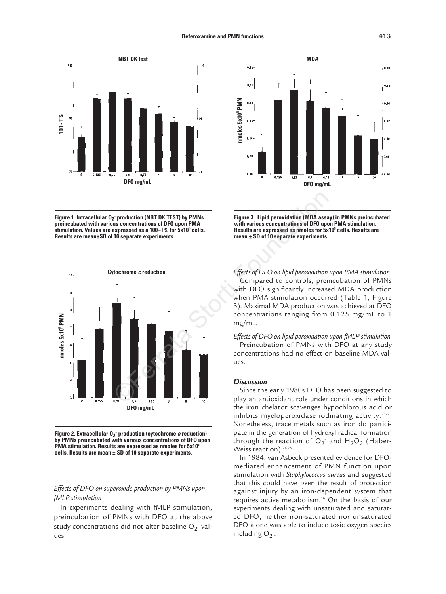

**Figure 1. Intracellular O2 – production (NBT DK TEST) by PMNs preincubated with various concentrations of DFO upon PMA stimulation. Values are expressed as a 100–T% for 5x10<sup>5</sup> cells. Results are mean±SD of 10 separate experiments.** 





# *Effects of DFO on superoxide production by PMNs upon fMLP stimulation*

In experiments dealing with fMLP stimulation, preincubation of PMNs with DFO at the above study concentrations did not alter baseline  $O_2^-$  values.



**Figure 3. Lipid peroxidation (MDA assay) in PMNs preincubated with various concentrations of DFO upon PMA stimulation. Results are expressed as nmoles for 5x105 cells. Results are mean ± SD of 10 separate experiments.**

*Effects of DFO on lipid peroxidation upon PMA stimulation* Compared to controls, preincubation of PMNs with DFO significantly increased MDA production when PMA stimulation occurred (Table 1, Figure 3). Maximal MDA production was achieved at DFO concentrations ranging from 0.125 mg/mL to 1 mg/mL.

*Effects of DFO on lipid peroxidation upon fMLP stimulation*  Preincubation of PMNs with DFO at any study concentrations had no effect on baseline MDA values.

### *Discussion*

Since the early 1980s DFO has been suggested to play an antioxidant role under conditions in which the iron chelator scavenges hypochlorous acid or inhibits myeloperoxidase iodinating activity. $21-23$ Nonetheless, trace metals such as iron do participate in the generation of hydroxyl radical formation through the reaction of  $O_2$  and  $H_2O_2$  (Haber-Weiss reaction).<sup>24,25</sup>

In 1984, van Asbeck presented evidence for DFOmediated enhancement of PMN function upon stimulation with *Staphylococcus aureus* and suggested that this could have been the result of protection against injury by an iron-dependent system that requires active metabolism.16 On the basis of our experiments dealing with unsaturated and saturated DFO, neither iron-saturated nor unsaturated DFO alone was able to induce toxic oxygen species including  $O_2$ .